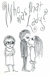